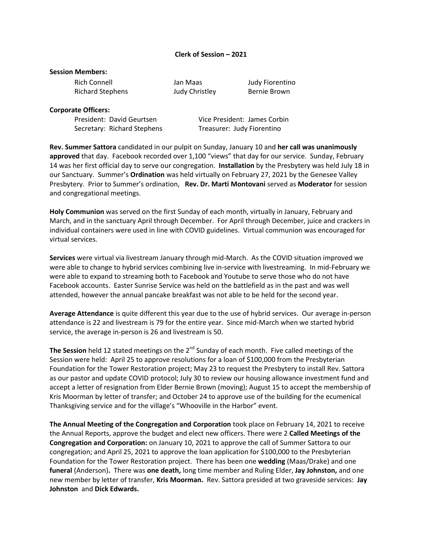### **Clerk of Session – 2021**

#### **Session Members:**

| Rich Connell            |  |
|-------------------------|--|
| <b>Richard Stephens</b> |  |

Judy Christley Bernie Brown

Jan Maas Judy Fiorentino

#### **Corporate Officers:**

Secretary: Richard Stephens Treasurer: Judy Fiorentino

President: David Geurtsen Vice President: James Corbin

**Rev. Summer Sattora** candidated in our pulpit on Sunday, January 10 and **her call was unanimously approved** that day. Facebook recorded over 1,100 "views" that day for our service. Sunday, February 14 was her first official day to serve our congregation. **Installation** by the Presbytery was held July 18 in our Sanctuary. Summer's **Ordination** was held virtually on February 27, 2021 by the Genesee Valley Presbytery. Prior to Summer's ordination, **Rev. Dr. Marti Montovani** served as **Moderator** for session and congregational meetings.

**Holy Communion** was served on the first Sunday of each month, virtually in January, February and March, and in the sanctuary April through December. For April through December, juice and crackers in individual containers were used in line with COVID guidelines. Virtual communion was encouraged for virtual services.

**Services** were virtual via livestream January through mid-March. As the COVID situation improved we were able to change to hybrid services combining live in-service with livestreaming. In mid-February we were able to expand to streaming both to Facebook and Youtube to serve those who do not have Facebook accounts. Easter Sunrise Service was held on the battlefield as in the past and was well attended, however the annual pancake breakfast was not able to be held for the second year.

**Average Attendance** is quite different this year due to the use of hybrid services. Our average in-person attendance is 22 and livestream is 79 for the entire year. Since mid-March when we started hybrid service, the average in-person is 26 and livestream is 50.

The Session held 12 stated meetings on the 2<sup>nd</sup> Sunday of each month. Five called meetings of the Session were held: April 25 to approve resolutions for a loan of \$100,000 from the Presbyterian Foundation for the Tower Restoration project; May 23 to request the Presbytery to install Rev. Sattora as our pastor and update COVID protocol; July 30 to review our housing allowance investment fund and accept a letter of resignation from Elder Bernie Brown (moving); August 15 to accept the membership of Kris Moorman by letter of transfer; and October 24 to approve use of the building for the ecumenical Thanksgiving service and for the village's "Whooville in the Harbor" event.

**The Annual Meeting of the Congregation and Corporation** took place on February 14, 2021 to receive the Annual Reports, approve the budget and elect new officers. There were 2 **Called Meetings of the Congregation and Corporation:** on January 10, 2021 to approve the call of Summer Sattora to our congregation; and April 25, 2021 to approve the loan application for \$100,000 to the Presbyterian Foundation for the Tower Restoration project. There has been one **wedding** (Maas/Drake) and one **funeral** (Anderson)**.** There was **one death,** long time member and Ruling Elder, **Jay Johnston,** and one new member by letter of transfer, **Kris Moorman.** Rev. Sattora presided at two graveside services: **Jay Johnston** and **Dick Edwards.**